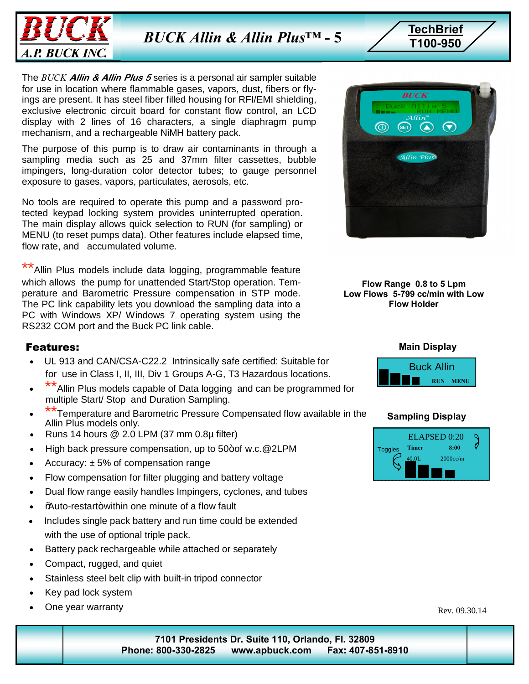

**TechBrief** *BUCK Allin & Allin Plus™*

**T100-950 - 5**

The *BUCK* **Allin & Allin Plus 5** series is a personal air sampler suitable for use in location where flammable gases, vapors, dust, fibers or flyings are present. It has steel fiber filled housing for RFI/EMI shielding, exclusive electronic circuit board for constant flow control, an LCD display with 2 lines of 16 characters, a single diaphragm pump mechanism, and a rechargeable NiMH battery pack.

The purpose of this pump is to draw air contaminants in through a sampling media such as 25 and 37mm filter cassettes, bubble impingers, long-duration color detector tubes; to gauge personnel exposure to gases, vapors, particulates, aerosols, etc.

No tools are required to operate this pump and a password protected keypad locking system provides uninterrupted operation. The main display allows quick selection to RUN (for sampling) or MENU (to reset pumps data). Other features include elapsed time, flow rate, and accumulated volume.

Allin Plus models include data logging, programmable feature which allows the pump for unattended Start/Stop operation. Temperature and Barometric Pressure compensation in STP mode. The PC link capability lets you download the sampling data into a PC with Windows XP/ Windows 7 operating system using the RS232 COM port and the Buck PC link cable.

### Features:

- · UL 913 and CAN/CSA-C22.2 Intrinsically safe certified: Suitable for for use in Class I, II, III, Div 1 Groups A-G, T3 Hazardous locations.
- Allin Plus models capable of Data logging and can be programmed for multiple Start/ Stop and Duration Sampling.
- \*\*Temperature and Barometric Pressure Compensated flow available in the Allin Plus models only.
- · Runs 14 hours @ 2.0 LPM (37 mm 0.8µ filter)
- High back pressure compensation, up to 50+of w.c.@2LPM
- Accuracy:  $\pm$  5% of compensation range
- · Flow compensation for filter plugging and battery voltage
- · Dual flow range easily handles Impingers, cyclones, and tubes
- · "Auto-restart" within one minute of a flow fault
- Includes single pack battery and run time could be extended with the use of optional triple pack.
- Battery pack rechargeable while attached or separately
- · Compact, rugged, and quiet
- Stainless steel belt clip with built-in tripod connector
- · Key pad lock system
- · One year warranty



#### **Flow Range 0.8 to 5 Lpm Low Flows 5-799 cc/min with Low Flow Holder**



## **Sampling Display**



Rev. 09.30.14